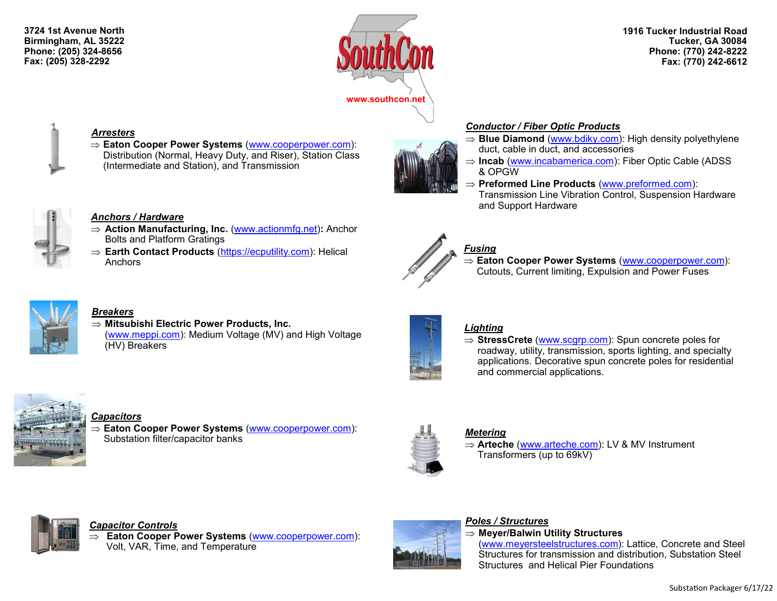**3724 1st Avenue North Birmingham, AL 35222 Phone: (205) 324-8656 Fax: (205) 328-2292**



#### **1916 Tucker Industrial Road Tucker, GA 30084 Phone: (770) 242-8222 Fax: (770) 242-6612**



#### *Arresters*

 **Eaton Cooper Power Systems** ([www.cooperpower.com\)](http://www.cooperpower.com): Distribution (Normal, Heavy Duty, and Riser), Station Class (Intermediate and Station), and Transmission



## *Conductor / Fiber Optic Products*

- $\Rightarrow$  **Blue Diamond** [\(www.bdiky.com\)](http://www.bdiky.com/): High density polyethylene duct, cable in duct, and accessories
- ⇒ **Incab** [\(www.incabamerica.com\)](http://www.incabamerica.com): Fiber Optic Cable (ADSS & OPGW
- **Preformed Line Products** ([www.preformed.com\):](http://www.preformed.com/) Transmission Line Vibration Control, Suspension Hardware and Support Hardware



## *Anchors / Hardware*

- **Action Manufacturing, Inc.** ([www.actionmfg.net\)](http://www.actionmfg.net)**:** Anchor Bolts and Platform Gratings
- **Earth Contact Products** ([https://ecputility.com\):](https://ecputility.com) Helical **Anchors**



# *Fusing*

 **Eaton Cooper Power Systems** ([www.cooperpower.com\):](http://www.cooperpower.com) Cutouts, Current limiting, Expulsion and Power Fuses



# *Breakers*

 **Mitsubishi Electric Power Products, Inc.**  [\(www.meppi.com\):](http://www.meppi.com/) Medium Voltage (MV) and High Voltage (HV) Breakers



# *Lighting*

⇒ **StressCrete** ([www.scgrp.com\)](http://www.scgrp.com): Spun concrete poles for roadway, utility, transmission, sports lighting, and specialty applications. Decorative spun concrete poles for residential and commercial applications.



### *Capacitors*

 **Eaton Cooper Power Systems** [\(www.cooperpower.com\):](http://www.cooperpower.com) Substation filter/capacitor banks



### *Metering*

**⇒ Arteche** [\(www.arteche.com\)](http://www.arteche.com): LV & MV Instrument Transformers (up to 69kV)



### *Capacitor Controls*

 **Eaton Cooper Power Systems** [\(www.cooperpower.com\):](http://www.cooperpower.com) Volt, VAR, Time, and Temperature



# *Poles / Structures*

**Meyer/Balwin Utility Structures**

[\(www.meyersteelstructures.com\)](http://www.meyersteelstructures.com): Lattice, Concrete and Steel Structures for transmission and distribution, Substation Steel Structures and Helical Pier Foundations